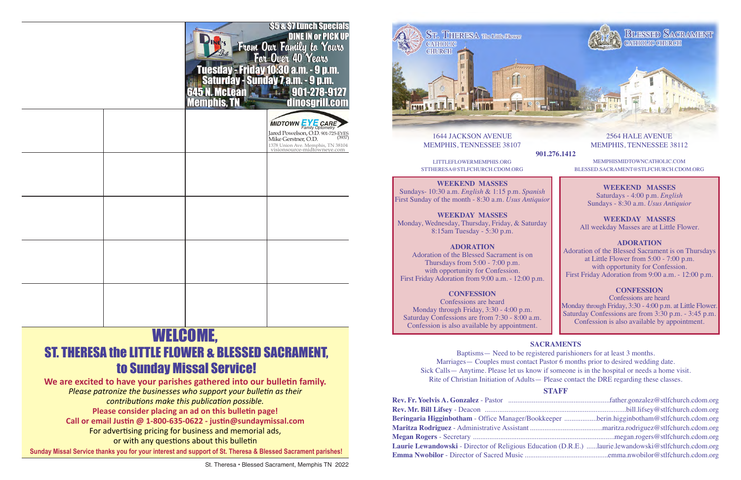

1644 JACKSON AVENUE MEMPHIS, TENNESSEE 38107

**901.276.1412**

LITTLEFLOWERMEMPHIS.ORG STTHERESA@STLFCHURCH.CDOM.ORG

# **WEEKEND MASSES**

Sundays- 10:30 a.m. *English* & 1:15 p.m. *Spanish* First Sunday of the month - 8:30 a.m. *Usus Antiquior* 

# **WEEKDAY MASSES**

Monday, Wednesday, Thursday, Friday, & Saturday 8:15am Tuesday - 5:30 p.m.

# **ADORATION**

Adoration of the Blessed Sacrament is on Thursdays from 5:00 - 7:00 p.m. with opportunity for Confession. First Friday Adoration from 9:00 a.m. - 12:00 p.m.

# **CONFESSION**

Confessions are heard Monday through Friday, 3:30 - 4:00 p.m. Saturday Confessions are from 7:30 - 8:00 a.m. Confession is also available by appointment.

2564 HALE AVENUE MEMPHIS, TENNESSEE 38112

MEMPHISMIDTOWNCATHOLIC.COM BLESSED.SACRAMENT@STLFCHURCH.CDOM.ORG

# **WEEKEND MASSES**

Saturdays - 4:00 p.m. *English*  Sundays - 8:30 a.m. *Usus Antiquior*

**WEEKDAY MASSES** All weekday Masses are at Little Flower.

## **ADORATION**

Adoration of the Blessed Sacrament is on Thursdays at Little Flower from 5:00 - 7:00 p.m. with opportunity for Confession. First Friday Adoration from 9:00 a.m. - 12:00 p.m.

# **CONFESSION**

Confessions are heard Monday through Friday, 3:30 - 4:00 p.m. at Little Flower. Saturday Confessions are from 3:30 p.m. - 3:45 p.m. Confession is also available by appointment.

# **SACRAMENTS**

Baptisms— Need to be registered parishioners for at least 3 months. Marriages— Couples must contact Pastor 6 months prior to desired wedding date. Sick Calls— Anytime. Please let us know if someone is in the hospital or needs a home visit. Rite of Christian Initiation of Adults— Please contact the DRE regarding these classes.

# **STAFF**

| Beringaria Higginbotham - Office Manager/Bookkeeper berin.higginbotham@stlfchurch.cdom.org                  |  |
|-------------------------------------------------------------------------------------------------------------|--|
|                                                                                                             |  |
|                                                                                                             |  |
| <b>Laurie Lewandowski</b> - Director of Religious Education (D.R.E.) laurie.lewandowski@stlfchurch.cdom.org |  |
|                                                                                                             |  |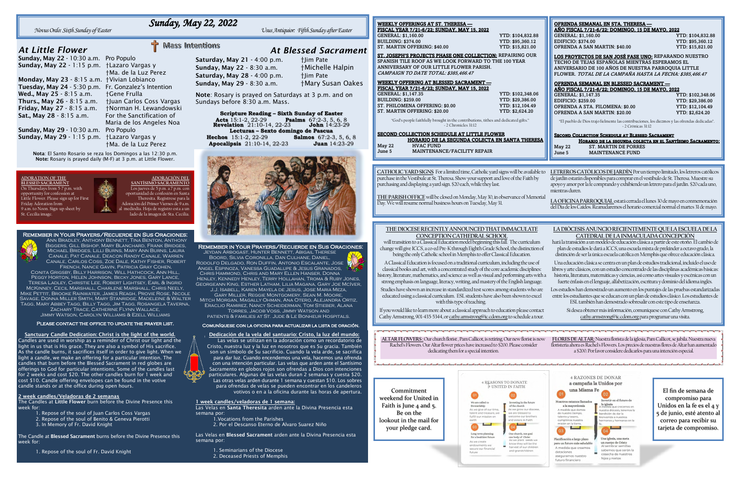Saturday, May 21 - 4:00 p.m. <br>  $\dagger$ Jim Pate Sunday, May 22 - 8:30 a.m. †Michelle Halpin Saturday, May 28 - 4:00 p.m. †Jim Pate Sunday, May 29 - 8:30 a.m. †Mary Susan Oakes

# *At Little Flower*

Sunday, May 22 - 10:30 a.m. Pro Populo Sunday, May 22 - 1:15 p.m. †Lazaro Vargas y

Monday, May 23 - 8:15 a.m. †Vivian Lobianco Tuesday, May 24 - 5:30 p.m. Fr. Gonzalez's Intention Wed., May 25 - 8:15 a.m. + Gene Frulla Thurs., May 26 - 8:15 a.m. †Juan Carlos Coss Vargas Friday, May 27 - 8:15 a.m. †Norman H. Lewandowski Sat., May 28 - 8:15 a.m. For the Sanctification of

†Ma. de la Luz Perez Maria de los Angeles Noa †Ma. de la Luz Perez

Sunday, May 29 - 10:30 a.m. Pro Populo Sunday, May 29 - 1:15 p.m. †Lazaro Vargas y

> Nota: El Santo Rosario se reza los Domingos a las 12:30 p.m. Note: Rosary is prayed daily (M-F) at 3 p.m. at Little Flower.

# *Sunday, May 22, 2022*

*Novus Ordo: Sixth Sunday of Easter Usus Antiquior: Fifth Sunday after Easter*

*At Blessed Sacrament*

Note: Rosary is prayed on Saturdays at 3 p.m. and on Sundays before 8:30 a.m. Mass.

### Remember in Your Prayers/Recuerde en Sus Oraciones:

Jeydan Arbogast, Hunter Bennett, Abigail Therese Boord, Silvia Coronilla, Dan Culhane, Daniel, Rodolfo Delgado, Ron Duffin, Antonio Escalante, Jose Angel Espinoza, Vanessa Guadalupe & Jesus Granados, Chris Hammond, Chris and Mary Ellen Hanser, Donna Henley, Kennedy Henley, Terry Hollahan, Troma & Ruby Jones, Georgeann King, Esther Latham, Lilia Magana, Gary Joe McIver,

- Repose of the soul of Juan Carlos Coss Vargas
- 2. Repose of the soul of Benito & Geneva Pierotti
- 3. In Memory of Fr. David Knight

J.J. Isabell, Karen Mayela de Jesus, Jose Maria Meza, Gary Miller, Reggie Montgomery, Sean M. Moore, Mitch Morgan, Magally Ohman, Ana Otero, Alejandra Ortiz, Eraclio Ramirez, Nancy Scheiderman, Tom Stieber, Alana Torres, Jacob Voss, Jimmy Watson and

patients & families at St. Jude & Le Bonheur Hospitals.

### Comuníquese con la oficina para actualizar la lista de oración.

| <b>Scripture Reading - Sixth Sunday of Easter</b>                                     |                                 |  |  |  |
|---------------------------------------------------------------------------------------|---------------------------------|--|--|--|
| Acts 15:1-2, 22-29 Psalms 67:2-3, 5, 6, 8<br>Revelation 21:10-14, 22-23 John 14:23-29 |                                 |  |  |  |
|                                                                                       |                                 |  |  |  |
| Lecturas - Sexto domingo de Pascua                                                    |                                 |  |  |  |
| <b>Hechos</b> 15:1-2, 22-29                                                           | <b>Salmos</b> $67:2-3, 5, 6, 8$ |  |  |  |
| <b>Apocalipsis</b> 21:10-14, 22-23                                                    | <b>Juan</b> 14:23-29            |  |  |  |
|                                                                                       |                                 |  |  |  |



### Remember in Your Prayers/Recuerde en Sus Oraciones:



Ann Bradley, Anthony Bennett, Tina Benton, Anthony

Biggers, Gill Bishop, Mary Blanchard, Frank Bridges, Michael Bridges, Lilli Burns, Mary Ann Burns, Laura Canale, Pat Canale, Deacon Randy Canale, Warren Canale, Carlos Coss, Zoe Dale, Kathy Fisher, Robert French, Nance Gavin, Patricia Gray Cohen,

Conita Grigsby, Billy Harrison, Will Hathcock, Ann Hill, Peggy Horton, Helen Johnson, Becky Jones, Gary Lance, Teresa Ladley, Christie Lee, Robert Lightsey, Earl & Ingrid McKinney, Cecil Marshall, Charlene Marshall, Chris Neely, Mike Pettit, Brooke Rainwater, James Reagh, Provie Rose, Nicole Savage, Donna Miller Smith, Mary Stanridge, Madeleine & Walter Tagg, Mary Abbey Tagg, Billy Tagg, Jim Tagg, Rosangela Taverna,

Zachary Trace, Catherine Flynn Wallace, Jimmy Watson, Carolyn Williams & Ezell Williams

### PLEASE CONTACT THE OFFICE TO UPDATE THE PRAYER LIST.

Dedicación de la vela del santuario: Cristo, la luz del mundo: Las velas se utilizan en la adoración como un recordatorio de Cristo, nuestra luz y la luz en nosotros que es Su gracia. También son un símbolo de Su sacrificio. Cuando la vela arde, se sacrifica para dar luz. Cuando encendemos una vela, hacemos una ofrenda con una intención particular. Las velas que arden ante el Santísimo Sacramento en globos rojos son ofrendas a Dios con intenciones particulares. Algunas de las velas duran 2 semanas y cuesta \$20. Las otras velas arden durante 1 semana y cuestan \$10. Los sobres para ofrendas de velas se pueden encontrar en los candeleros votivos o en a la oficina durante las horas de apertura.

### 1 week candles/veladoras de 1 semana:

| <b>WEEKLY OFFERINGS AT ST. THERESA —</b><br>FISCAL YEAR 7/21-6/22; SUNDAY, MAY 15, 2022<br>YTD: \$104,832.88<br>GENERAL: \$1,160.00<br>YTD: \$95,360.12<br><b>BUILDING: \$374.00</b><br>ST. MARTIN OFFERING: \$40.00<br>YTD: \$15,821.00<br><b>ST. JOSEPH'S PROJECTS PHASE ONE COLLECTION: REPAIRING OUR</b><br>SPANISH TILE ROOF AS WE LOOK FORWARD TO THE 100 YEAR<br>ANNIVERSARY OF OUR LITTLE FLOWER PARISH.<br>CAMPAIGN TO DATE TOTAL: \$385,466.47<br>WEEKLY OFFERING AT BLESSED SACRAMENT -<br>FISCAL YEAR 7/21-6/22; SUNDAY, MAY 15, 2022<br>GENERAL: \$1,147.35<br>YTD: \$102,348.06<br><b>BUILDING: \$259.00</b><br>YTD: \$29,386.00<br>ST. PHILOMENA OFFERING: \$0.00<br>YTD: \$12,104.49<br>ST. MARTIN OFFERING: \$20.00<br>YTD: \$2,624.20<br>"God's people faithfully brought in the contributions, tithes and dedicated gifts."<br>-2 Chronicles 31:12<br>SECOND COLLECTION SCHEDULE AT LITTLE FLOWER<br>HORARIO DE LA SEGUNDA COLECTA EN SANTA THERESA | OFRENDA SEMANAL EN STA. THERESA -<br><u>AÑO FISCAL 7/21-6/22; DOMINGO, 15 DE MAYO, 2022</u><br>GENERAL: \$1,160.00<br>YTD: \$104,832.88<br>EDIFICIO: \$374.00<br>YTD: \$95,360.12<br>OFRENDA A SAN MARTIN: \$40.00<br>YTD: \$15,821.00<br>LOS PROYECTOS DE SAN JOSÉ FASE UNO: REPARANDO NUESTRO<br>TECHO DE TEJAS ESPAÑOLAS MIENTRAS ESPERAMOS EL<br>ANIVERSARIO DE 100 AÑOS DE NUESTRA PARROQUIA LITTLE<br>FLOWER. TOTAL DE LA CAMPAÑA HASTA LA FECHA: \$385,466.47<br>OFRENDA SEMANAL EN BLESSED SACRAMENT -<br>AÑO FISCAL 7/21-6/22; DOMINGO, 15 DE MAYO, 2022<br>GENERAL: \$1,147.35<br>YTD: \$102,348.06<br><b>EDIFICIO: \$259.00</b><br>YTD: \$29,386.00<br>OFRENDA A STA. FILOMENA: \$0.00<br>YTD: \$12,104.49<br>OFRENDA A SAN MARTIN: \$20.00<br>YTD: \$2,624.20<br>"El pueblo de Dios trajo fielmente las contribuciones, los diezmos y las ofrendas dedicadas".<br>-2 Crónicas 31:12<br>SECOND COLLECTION SCHEDULE AT BLESSED SACRAMENT<br>HORARIO DE LA SEGUNDA COLECTA EN EL SANTÍSIMO SACRAMENTO: |  |  |
|------------------------------------------------------------------------------------------------------------------------------------------------------------------------------------------------------------------------------------------------------------------------------------------------------------------------------------------------------------------------------------------------------------------------------------------------------------------------------------------------------------------------------------------------------------------------------------------------------------------------------------------------------------------------------------------------------------------------------------------------------------------------------------------------------------------------------------------------------------------------------------------------------------------------------------------------------------------------|-----------------------------------------------------------------------------------------------------------------------------------------------------------------------------------------------------------------------------------------------------------------------------------------------------------------------------------------------------------------------------------------------------------------------------------------------------------------------------------------------------------------------------------------------------------------------------------------------------------------------------------------------------------------------------------------------------------------------------------------------------------------------------------------------------------------------------------------------------------------------------------------------------------------------------------------------------------------------------------------------------------------|--|--|
| <b>HVAC FUND</b><br><b>May 22</b><br>MAINTENANCE/FACILITY REPAIR<br>June 5                                                                                                                                                                                                                                                                                                                                                                                                                                                                                                                                                                                                                                                                                                                                                                                                                                                                                             | May 22<br><b>ST. MARTIN DE PORRES</b><br>June 5<br><b>MAINTENANCE FUND</b>                                                                                                                                                                                                                                                                                                                                                                                                                                                                                                                                                                                                                                                                                                                                                                                                                                                                                                                                      |  |  |
|                                                                                                                                                                                                                                                                                                                                                                                                                                                                                                                                                                                                                                                                                                                                                                                                                                                                                                                                                                        |                                                                                                                                                                                                                                                                                                                                                                                                                                                                                                                                                                                                                                                                                                                                                                                                                                                                                                                                                                                                                 |  |  |
| CATHOLIC YARD SIGNS For a limited time, Catholic yard signs will be available to<br>LETREROS CATÓLICOS DE JARDÍN Por un tiempo limitado, los letreros católicos<br>purchase in the Vestibule at St. Theresa. Show your support and love of the Faith by<br>de jardín estarán disponibles para comprar en el vestíbulo de St. Theresa. Muestre su<br>apoyo y amor por la fe comprando y exhibiendo un letrero para el jardín. \$20 cada uno,<br>purchasing and displaying a yard sign. \$20 each, while they last.<br>mientras duren.<br>THE PARISH OFFICE will be closed on Monday, May 30, in observance of Memorial<br>LA OFICINA PARROQUIAL estará cerrada el lunes 30 de mayo en conmemoración<br>Day. We will resume normal business hours on Tuesday, May 31.<br>del Día de los Caídos. Reanudaremos el horario comercial normal el martes 31 de mayo.                                                                                                           |                                                                                                                                                                                                                                                                                                                                                                                                                                                                                                                                                                                                                                                                                                                                                                                                                                                                                                                                                                                                                 |  |  |
|                                                                                                                                                                                                                                                                                                                                                                                                                                                                                                                                                                                                                                                                                                                                                                                                                                                                                                                                                                        |                                                                                                                                                                                                                                                                                                                                                                                                                                                                                                                                                                                                                                                                                                                                                                                                                                                                                                                                                                                                                 |  |  |
| LA DIÓCESIS ANUNCIO RECIENTEMENTE QUE LA ESCUELA DE LA<br>THE DIOCESE RECENTLY ANNOUNCED THAT IMMACULATE<br>CONCEPTION CATHEDRAL SCHOOL<br>CATEDRAL DE LA INMACULADA CONCEPCIÓN<br>will transition to a Classical Education model beginning this fall. The curriculum<br>hará la transición a un modelo de educación clásica a partir de este otoño. El cambio de<br>change will give ICCS, a co-ed Pre-K through Eighth Grade School, the distinction of<br>plan de estudios le dará a ICCS, una escuela mixta de prekínder a octavo grado, la<br>being the only Catholic school in Memphis to offer Classical Education.<br>distinción de ser la única escuela católica en Memphis que ofrece educación clásica.                                                                                                                                                                                                                                                     |                                                                                                                                                                                                                                                                                                                                                                                                                                                                                                                                                                                                                                                                                                                                                                                                                                                                                                                                                                                                                 |  |  |
| A Classical Education is focused on a traditional curriculum, including the use of<br>Una educación clásica se centra en un plan de estudios tradicional, incluido el uso de<br>classical books and art, with a concentrated study of the core academic disciplines:<br>libros y arte clásicos, con un estudio concentrado de las disciplinas académicas básicas:<br>history, literature, mathematics, and science as well as visual and performing arts with a<br>historia, literatura, matemáticas y ciencias, así como artes visuales y escénicas con un<br>strong emphasis on language, literacy, writing, and mastery of the English language.<br>fuerte énfasis en el lenguaje, alfabetización, escritura y dominio del idioma inglés.                                                                                                                                                                                                                           |                                                                                                                                                                                                                                                                                                                                                                                                                                                                                                                                                                                                                                                                                                                                                                                                                                                                                                                                                                                                                 |  |  |
| Studies have shown an increase in standardized test scores among students who are<br>Los estudios han demostrado un aumento en los puntajes de las pruebas estandarizadas<br>educated using a classical curriculum. ESL students have also been shown to excel<br>entre los estudiantes que se educan con un plan de estudios clásico. Los estudiantes de<br>with this type of teaching.<br>ESL también han demostrado sobresalir con este tipo de enseñanza.                                                                                                                                                                                                                                                                                                                                                                                                                                                                                                          |                                                                                                                                                                                                                                                                                                                                                                                                                                                                                                                                                                                                                                                                                                                                                                                                                                                                                                                                                                                                                 |  |  |
| If you would like to learn more about a classical approach to education please contact<br>Si desea obtener más información, comuníquese con Cathy Armstrong,<br>Cathy Armstrong, 901-435-5344, or cathy armstrong@ic.cdom.org to schedule a tour.<br>cathy.armstrong@ic.cdom.org para programar una visita.                                                                                                                                                                                                                                                                                                                                                                                                                                                                                                                                                                                                                                                            |                                                                                                                                                                                                                                                                                                                                                                                                                                                                                                                                                                                                                                                                                                                                                                                                                                                                                                                                                                                                                 |  |  |
| ALTAR FLOWERS: Our church florist, Pam Callicot, is retiring. Our new florist is now<br>Rachel's Flowers. Our Altar flower prices have increased to \$200. Please consider<br>dedicating them for a special intention.                                                                                                                                                                                                                                                                                                                                                                                                                                                                                                                                                                                                                                                                                                                                                 | FLORES DE ALTAR: Nuestra florista de la iglesia, Pam Callicot, se jubila. Nuestra nueva<br>floristería ahora es Rachel's Flowers. Los precios de nuestras flores de Altar han aumentado<br>a \$200. Por favor considere dedicarlos para una intención especial.                                                                                                                                                                                                                                                                                                                                                                                                                                                                                                                                                                                                                                                                                                                                                 |  |  |
| 4 REASONS TO DONATE<br>UNITED IN FAITH<br>Commitment<br>weekend for United in<br>We are called to<br>Investing in the future<br>Faith is June $4$ and $5$ .<br>Stewardship<br>of the church<br>As we give of our time,<br>As we grow our diocese,<br>Be on the<br>we are blessed to<br>talent and treasure, we<br>fulfill our mission on<br>welcome our brothers                                                                                                                                                                                                                                                                                                                                                                                                                                                                                                                                                                                                       | <b>4 RAZONES DE DONAR</b><br>a campaña la Unidos por<br>una Misma Fe<br>El fin de semana de<br>0 <sup>1</sup><br>compromiso para<br>Invertir en el futuro de<br>Nosotros estamos llamados<br>la iglesia<br>A medida que crecemos en<br>Unidos en la fe es el 4 y<br>a la mayordomía<br>A medida que damos<br>nuestra diócesis, tenemos la<br>5 de junio, esté atento al<br>de nuestro tiempo,<br>bendición de dar la<br>talento y tesoro,<br>bienvenida a nuestros<br>correo para recibir su                                                                                                                                                                                                                                                                                                                                                                                                                                                                                                                    |  |  |

Las Velas en Santa Theresita arden ante la Divina Presencia esta semana por:

- 1.Vocations from the Parishes
- 2. Por el Descanso Eterno de Alvaro Suarez Niño

Las Velas en Blessed Sacrament arden ante la Divina Presencia esta semana por:

- 1. Seminarians of the Diocese 2. Deceased Priests of Memphis
- 

| FISCAL YEAR 7/21-6/22: SUNDAY. MAY 15. 2022 |                  |
|---------------------------------------------|------------------|
| <b>GENERAL: \$1.160.00</b>                  | <b>YTD: \$10</b> |
| <b>BUILDING: \$374.00</b>                   | <b>YTD: \$95</b> |
| ST MARTIN OFFERING: \$40.00                 | YTD: \$15        |

Sanctuary Candle Dedication: Christ is the light of the world. Candles are used in worship as a reminder of Christ our light and the light in us that is His grace. They are also a symbol of His sacrifice. As the candle burns, it sacrifices itself in order to give light. When we light a candle, we make an offering for a particular intention. The candles that burn before the Blessed Sacrament in red globes are offerings to God for particular intentions. Some of the candles last for 2 weeks and cost \$20. The other candles burn for 1 week and cost \$10. Candle offering envelopes can be found in the votive candle stands or at the office during open hours.

### 2 week candles/Veladoras de 2 semanas

The Candles at Little Flower burn before the Divine Presence this week for:

The Candle at Blessed Sacrament burns before the Divine Presence this week for:

1. Repose of the soul of Fr. David Knight

# T Mass Intentions

### **ADORATION OF THE**

**BLESSED SACRAMENT** On Thursdays from 5-7 p.m. with opportunity for confession at Little Flower. Please sign up for First Friday Adoration from 9 a.m. to Noon. Sign-up sheet by St. Cecilia image.

**ADORACIÓN DEL SANTÍSIMO SACRAMENTO** Los jueves de 5 p.m. a 7 p.m. con oportunidad de confesión en Santa Theresita. Regístrese para la Adoración del Primer Viernes de 9 a.m. al mediodía. Hoja de registro esta a un lado de la imagen de Sta. Cecilia.

| FISCAL TEAR // 41-0/ 44; SUNDAT, MAT 13, 4044 |                  |
|-----------------------------------------------|------------------|
| <b>GENERAL: \$1,147.35</b>                    | YTD: \$102.348.0 |
| <b>BUILDING: \$259.00</b>                     | YTD: \$29.386.00 |
| ST. PHILOMENA OFFERING: \$0.00                | YTD: \$12.104.49 |
| ST. MARTIN OFFERING: \$20.00                  | YTD: \$2,624.20  |
|                                               |                  |





tarjeta de compromiso.

Una iglesia, una meta un cuerpo de Cristo<br>Al sembrar semilla sabemos que serán la osecha de nue hijos y nietos

Planificación a largo plazo

para un futuro más saludable

A medida que creamos

aseguramos nuestro

uturo financiero

dotaciones